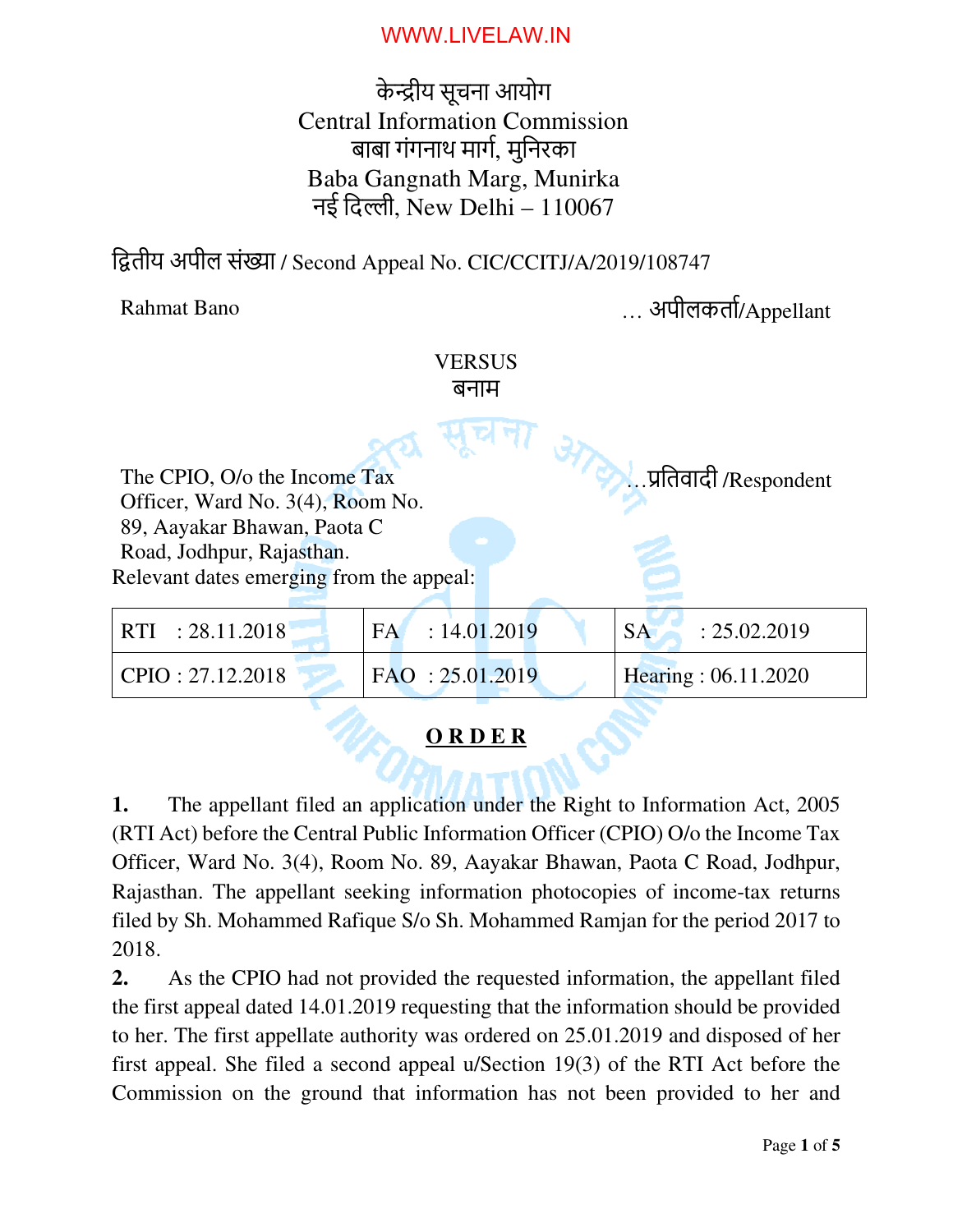के ीय सूचना आयोग Central Information Commission बाबा गंगनाथ माग, मुिनरका Baba Gangnath Marg, Munirka नई दिल्ली. New Delhi –  $110067$ 

द्वितीय अपील संख्या / Second Appeal No. CIC/CCITJ/A/2019/108747

Rahmat Bano … अपीलकता/Appellant

… ितवादी /Respondent

## **VERSUS** बनाम

The CPIO, O/o the Income Tax Officer, Ward No. 3(4), Room No. 89, Aayakar Bhawan, Paota C Road, Jodhpur, Rajasthan. Relevant dates emerging from the appeal:

| FAO: 25.01.2019<br>Hearing: 06.11.2020<br>$ $ CPIO : 27.12.2018 | $\vert$ RTI : 28.11.2018 | $FA = 14.01.2019$ | : 25.02.2019<br><b>SA</b> |
|-----------------------------------------------------------------|--------------------------|-------------------|---------------------------|
|                                                                 |                          |                   |                           |

## **O R D E R**

**1.** The appellant filed an application under the Right to Information Act, 2005 (RTI Act) before the Central Public Information Officer (CPIO) O/o the Income Tax Officer, Ward No. 3(4), Room No. 89, Aayakar Bhawan, Paota C Road, Jodhpur, Rajasthan. The appellant seeking information photocopies of income-tax returns filed by Sh. Mohammed Rafique S/o Sh. Mohammed Ramjan for the period 2017 to 2018.

**2.** As the CPIO had not provided the requested information, the appellant filed the first appeal dated 14.01.2019 requesting that the information should be provided to her. The first appellate authority was ordered on 25.01.2019 and disposed of her first appeal. She filed a second appeal u/Section 19(3) of the RTI Act before the Commission on the ground that information has not been provided to her and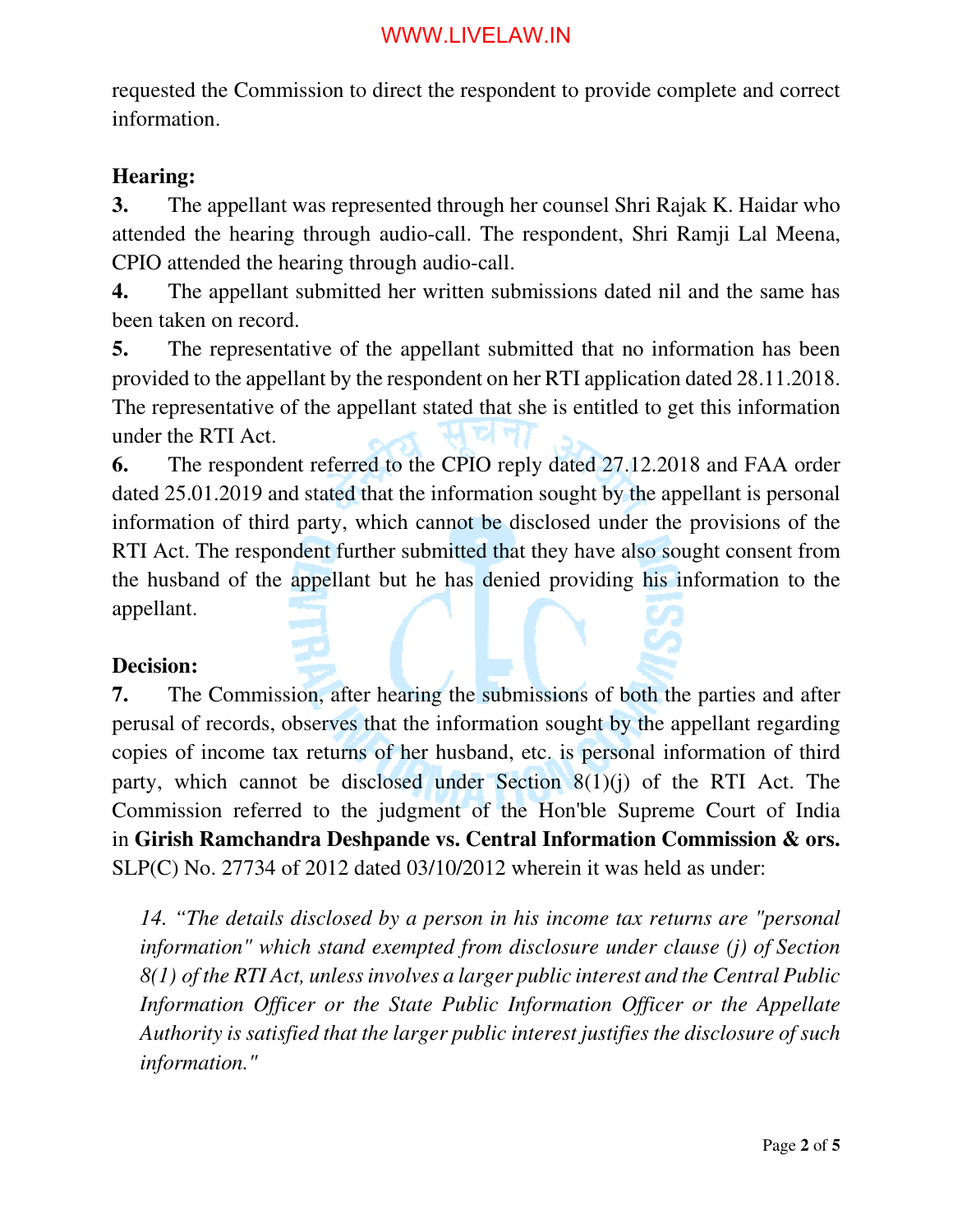requested the Commission to direct the respondent to provide complete and correct information.

#### **Hearing:**

**3.** The appellant was represented through her counsel Shri Rajak K. Haidar who attended the hearing through audio-call. The respondent, Shri Ramji Lal Meena, CPIO attended the hearing through audio-call.

**4.** The appellant submitted her written submissions dated nil and the same has been taken on record.

**5.** The representative of the appellant submitted that no information has been provided to the appellant by the respondent on her RTI application dated 28.11.2018. The representative of the appellant stated that she is entitled to get this information under the RTI Act.

**6.** The respondent referred to the CPIO reply dated 27.12.2018 and FAA order dated 25.01.2019 and stated that the information sought by the appellant is personal information of third party, which cannot be disclosed under the provisions of the RTI Act. The respondent further submitted that they have also sought consent from the husband of the appellant but he has denied providing his information to the appellant.

#### **Decision:**

**7.** The Commission, after hearing the submissions of both the parties and after perusal of records, observes that the information sought by the appellant regarding copies of income tax returns of her husband, etc. is personal information of third party, which cannot be disclosed under Section  $8(1)(i)$  of the RTI Act. The Commission referred to the judgment of the Hon'ble Supreme Court of India in **Girish Ramchandra Deshpande vs. Central Information Commission & ors.** SLP(C) No. 27734 of 2012 dated 03/10/2012 wherein it was held as under:

*14. "The details disclosed by a person in his income tax returns are "personal information" which stand exempted from disclosure under clause (j) of Section 8(1) of the RTI Act, unless involves a larger public interest and the Central Public Information Officer or the State Public Information Officer or the Appellate Authority is satisfied that the larger public interest justifies the disclosure of such information."*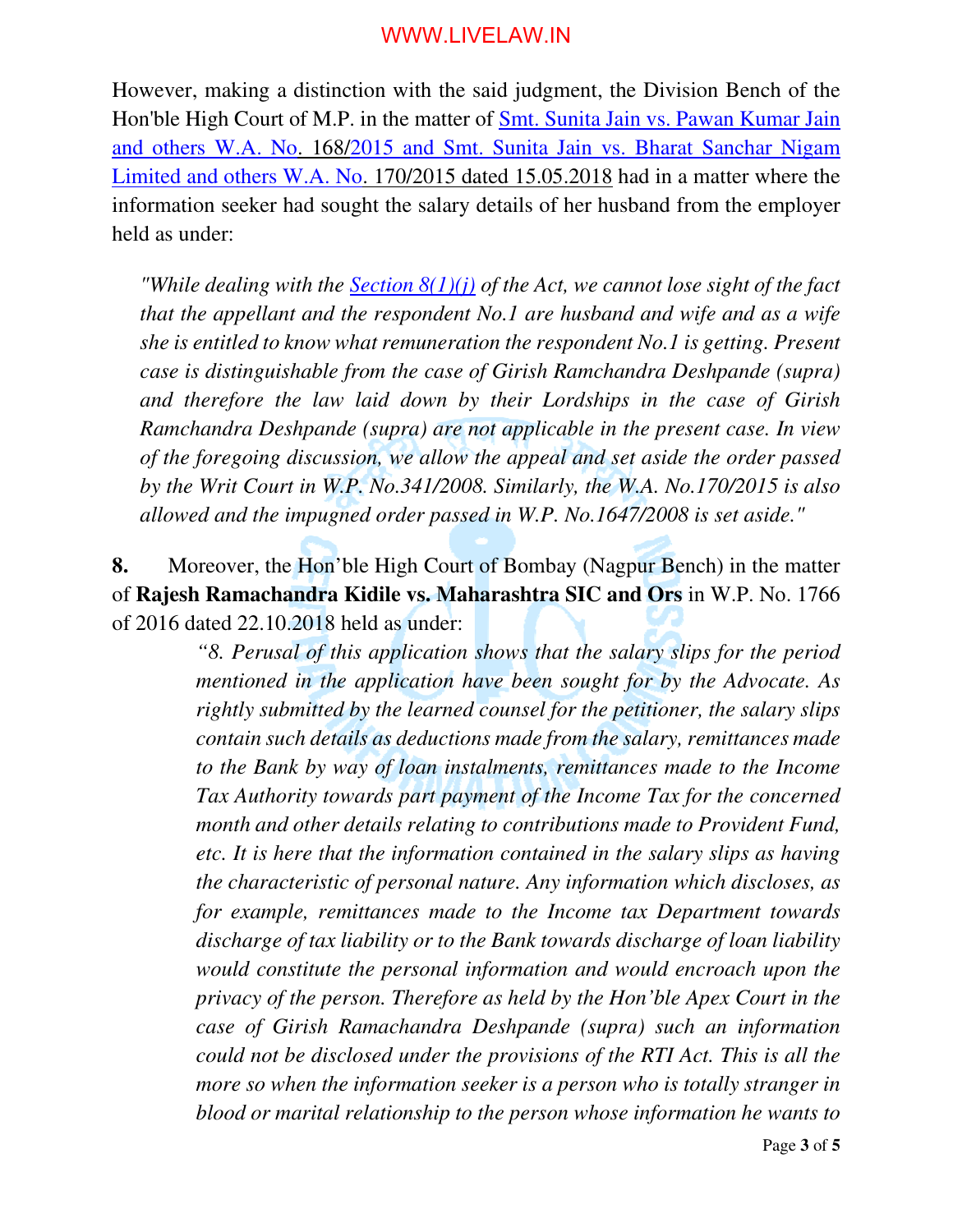However, making a distinction with the said judgment, the Division Bench of the Hon'ble High Court of M.P. in the matter of Smt. Sunita Jain vs. Pawan Kumar Jain and others W.A. No. 168/2015 and Smt. Sunita Jain vs. Bharat Sanchar Nigam Limited and others W.A. No. 170/2015 dated 15.05.2018 had in a matter where the information seeker had sought the salary details of her husband from the employer held as under:

*"While dealing with the Section 8(1)(j) of the Act, we cannot lose sight of the fact that the appellant and the respondent No.1 are husband and wife and as a wife she is entitled to know what remuneration the respondent No.1 is getting. Present case is distinguishable from the case of Girish Ramchandra Deshpande (supra) and therefore the law laid down by their Lordships in the case of Girish Ramchandra Deshpande (supra) are not applicable in the present case. In view of the foregoing discussion, we allow the appeal and set aside the order passed by the Writ Court in W.P. No.341/2008. Similarly, the W.A. No.170/2015 is also allowed and the impugned order passed in W.P. No.1647/2008 is set aside."* 

**8.** Moreover, the Hon'ble High Court of Bombay (Nagpur Bench) in the matter of **Rajesh Ramachandra Kidile vs. Maharashtra SIC and Ors** in W.P. No. 1766 of 2016 dated 22.10.2018 held as under:

> *"8. Perusal of this application shows that the salary slips for the period mentioned in the application have been sought for by the Advocate. As rightly submitted by the learned counsel for the petitioner, the salary slips contain such details as deductions made from the salary, remittances made to the Bank by way of loan instalments, remittances made to the Income Tax Authority towards part payment of the Income Tax for the concerned month and other details relating to contributions made to Provident Fund, etc. It is here that the information contained in the salary slips as having the characteristic of personal nature. Any information which discloses, as for example, remittances made to the Income tax Department towards discharge of tax liability or to the Bank towards discharge of loan liability would constitute the personal information and would encroach upon the privacy of the person. Therefore as held by the Hon'ble Apex Court in the case of Girish Ramachandra Deshpande (supra) such an information could not be disclosed under the provisions of the RTI Act. This is all the more so when the information seeker is a person who is totally stranger in blood or marital relationship to the person whose information he wants to*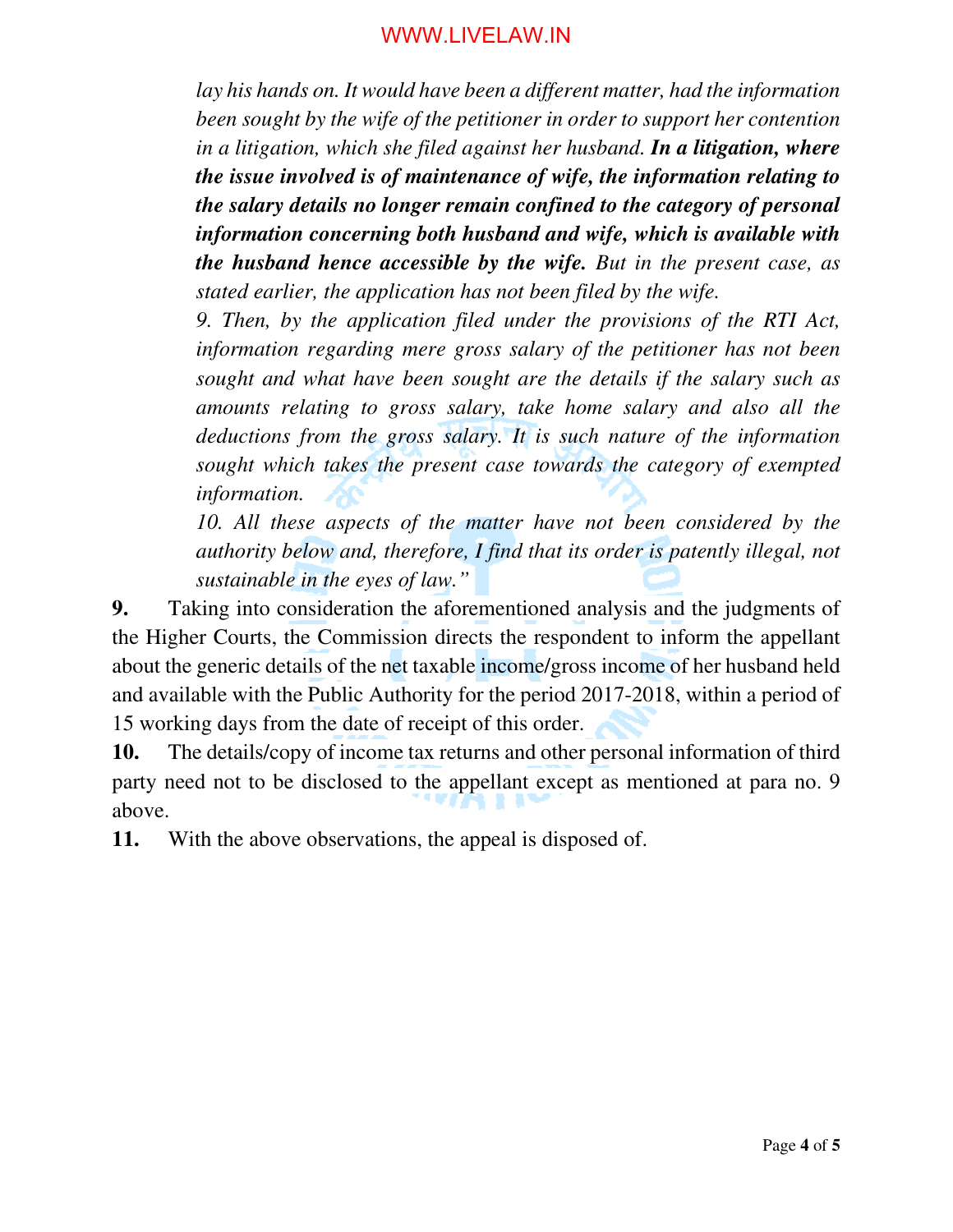*lay his hands on. It would have been a different matter, had the information been sought by the wife of the petitioner in order to support her contention in a litigation, which she filed against her husband. In a litigation, where the issue involved is of maintenance of wife, the information relating to the salary details no longer remain confined to the category of personal information concerning both husband and wife, which is available with the husband hence accessible by the wife. But in the present case, as stated earlier, the application has not been filed by the wife.* 

*9. Then, by the application filed under the provisions of the RTI Act, information regarding mere gross salary of the petitioner has not been sought and what have been sought are the details if the salary such as amounts relating to gross salary, take home salary and also all the deductions from the gross salary. It is such nature of the information sought which takes the present case towards the category of exempted information.* 

*10. All these aspects of the matter have not been considered by the authority below and, therefore, I find that its order is patently illegal, not sustainable in the eyes of law."* 

**9.** Taking into consideration the aforementioned analysis and the judgments of the Higher Courts, the Commission directs the respondent to inform the appellant about the generic details of the net taxable income/gross income of her husband held and available with the Public Authority for the period 2017-2018, within a period of 15 working days from the date of receipt of this order.

**10.** The details/copy of income tax returns and other personal information of third party need not to be disclosed to the appellant except as mentioned at para no. 9 above.

**11.** With the above observations, the appeal is disposed of.